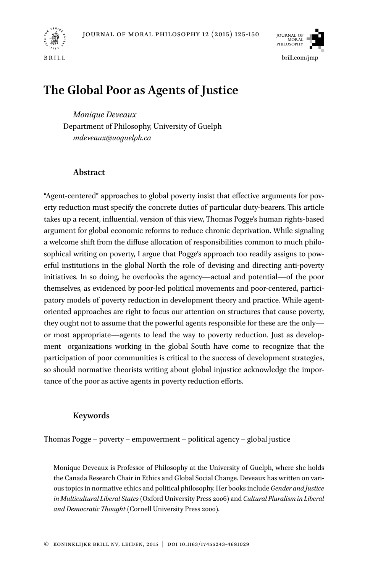



# **The Global Poor as Agents of Justice**

*Monique Deveaux* Department of Philosophy, University of Guelph *mdeveaux@uoguelph.ca*

# **Abstract**

"Agent-centered" approaches to global poverty insist that effective arguments for poverty reduction must specify the concrete duties of particular duty-bearers. This article takes up a recent, influential, version of this view, Thomas Pogge's human rights-based argument for global economic reforms to reduce chronic deprivation. While signaling a welcome shift from the diffuse allocation of responsibilities common to much philosophical writing on poverty, I argue that Pogge's approach too readily assigns to powerful institutions in the global North the role of devising and directing anti-poverty initiatives. In so doing, he overlooks the agency—actual and potential—of the poor themselves, as evidenced by poor-led political movements and poor-centered, participatory models of poverty reduction in development theory and practice. While agentoriented approaches are right to focus our attention on structures that cause poverty, they ought not to assume that the powerful agents responsible for these are the only or most appropriate—agents to lead the way to poverty reduction. Just as development organizations working in the global South have come to recognize that the participation of poor communities is critical to the success of development strategies, so should normative theorists writing about global injustice acknowledge the importance of the poor as active agents in poverty reduction efforts.

# **Keywords**

Thomas Pogge – poverty – empowerment – political agency – global justice

Monique Deveaux is Professor of Philosophy at the University of Guelph, where she holds the Canada Research Chair in Ethics and Global Social Change. Deveaux has written on various topics in normative ethics and political philosophy. Her books include *Gender and Justice in Multicultural Liberal States* (Oxford University Press 2006) and *Cultural Pluralism in Liberal and Democratic Thought* (Cornell University Press 2000).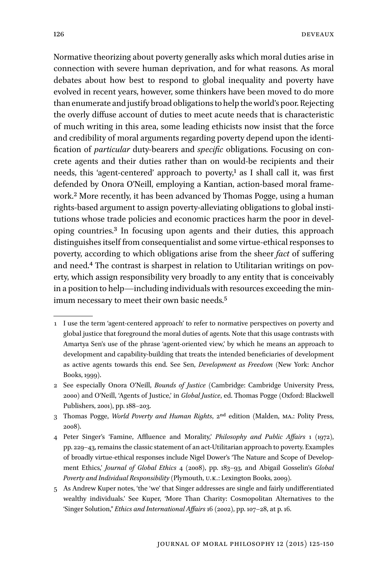Normative theorizing about poverty generally asks which moral duties arise in connection with severe human deprivation, and for what reasons. As moral debates about how best to respond to global inequality and poverty have evolved in recent years, however, some thinkers have been moved to do more than enumerate and justify broad obligations to help the world's poor. Rejecting the overly diffuse account of duties to meet acute needs that is characteristic of much writing in this area, some leading ethicists now insist that the force and credibility of moral arguments regarding poverty depend upon the identification of *particular* duty-bearers and *specific* obligations. Focusing on concrete agents and their duties rather than on would-be recipients and their needs, this 'agent-centered' approach to poverty,<sup>1</sup> as I shall call it, was first defended by Onora O'Neill, employing a Kantian, action-based moral framework.2 More recently, it has been advanced by Thomas Pogge, using a human rights-based argument to assign poverty-alleviating obligations to global institutions whose trade policies and economic practices harm the poor in developing countries.3 In focusing upon agents and their duties, this approach distinguishes itself from consequentialist and some virtue-ethical responses to poverty, according to which obligations arise from the sheer *fact* of suffering and need.4 The contrast is sharpest in relation to Utilitarian writings on poverty, which assign responsibility very broadly to any entity that is conceivably in a position to help—including individuals with resources exceeding the minimum necessary to meet their own basic needs.<sup>5</sup>

<sup>1</sup> I use the term 'agent-centered approach' to refer to normative perspectives on poverty and global justice that foreground the moral duties of agents. Note that this usage contrasts with Amartya Sen's use of the phrase 'agent-oriented view,' by which he means an approach to development and capability-building that treats the intended beneficiaries of development as active agents towards this end. See Sen, *Development as Freedom* (New York: Anchor Books, 1999).

<sup>2</sup> See especially Onora O'Neill, *Bounds of Justice* (Cambridge: Cambridge University Press, 2000) and O'Neill, 'Agents of Justice,' in *Global Justice*, ed. Thomas Pogge (Oxford: Blackwell Publishers, 2001), pp. 188–203.

<sup>3</sup> Thomas Pogge, *World Poverty and Human Rights*, 2nd edition (Malden, ma.: Polity Press, 2008).

<sup>4</sup> Peter Singer's 'Famine, Affluence and Morality,' *Philosophy and Public Affairs* 1 (1972), pp. 229–43, remains the classic statement of an act-Utilitarian approach to poverty. Examples of broadly virtue-ethical responses include Nigel Dower's 'The Nature and Scope of Development Ethics,' *Journal of Global Ethics* 4 (2008), pp. 183–93, and Abigail Gosselin's *Global Poverty and Individual Responsibility* (Plymouth, u.k.: Lexington Books, 2009).

<sup>5</sup> As Andrew Kuper notes, 'the 'we' that Singer addresses are single and fairly undifferentiated wealthy individuals.' See Kuper, 'More Than Charity: Cosmopolitan Alternatives to the 'Singer Solution," *Ethics and International Affairs* 16 (2002), pp. 107–28, at p. 16.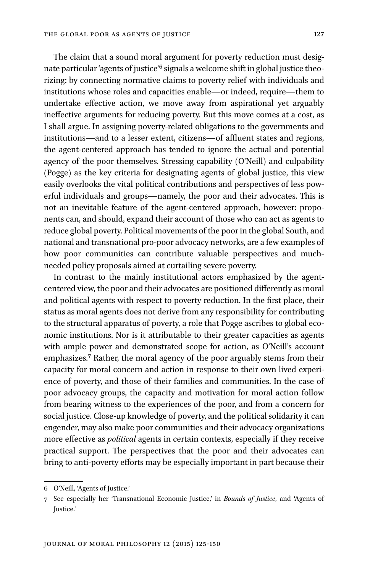The claim that a sound moral argument for poverty reduction must designate particular 'agents of justice'<sup>6</sup> signals a welcome shift in global justice theorizing: by connecting normative claims to poverty relief with individuals and institutions whose roles and capacities enable—or indeed, require—them to undertake effective action, we move away from aspirational yet arguably ineffective arguments for reducing poverty. But this move comes at a cost, as I shall argue. In assigning poverty-related obligations to the governments and institutions—and to a lesser extent, citizens—of affluent states and regions, the agent-centered approach has tended to ignore the actual and potential agency of the poor themselves. Stressing capability (O'Neill) and culpability (Pogge) as the key criteria for designating agents of global justice, this view easily overlooks the vital political contributions and perspectives of less powerful individuals and groups—namely, the poor and their advocates. This is not an inevitable feature of the agent-centered approach, however: proponents can, and should, expand their account of those who can act as agents to reduce global poverty. Political movements of the poor in the global South, and national and transnational pro-poor advocacy networks, are a few examples of how poor communities can contribute valuable perspectives and muchneeded policy proposals aimed at curtailing severe poverty.

In contrast to the mainly institutional actors emphasized by the agentcentered view, the poor and their advocates are positioned differently as moral and political agents with respect to poverty reduction. In the first place, their status as moral agents does not derive from any responsibility for contributing to the structural apparatus of poverty, a role that Pogge ascribes to global economic institutions. Nor is it attributable to their greater capacities as agents with ample power and demonstrated scope for action, as O'Neill's account emphasizes.7 Rather, the moral agency of the poor arguably stems from their capacity for moral concern and action in response to their own lived experience of poverty, and those of their families and communities. In the case of poor advocacy groups, the capacity and motivation for moral action follow from bearing witness to the experiences of the poor, and from a concern for social justice. Close-up knowledge of poverty, and the political solidarity it can engender, may also make poor communities and their advocacy organizations more effective as *political* agents in certain contexts, especially if they receive practical support. The perspectives that the poor and their advocates can bring to anti-poverty efforts may be especially important in part because their

<sup>6</sup> O'Neill, 'Agents of Justice.'

<sup>7</sup> See especially her 'Transnational Economic Justice,' in *Bounds of Justice*, and 'Agents of Justice.'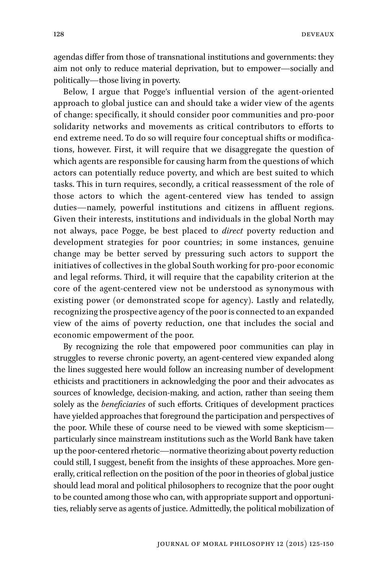agendas differ from those of transnational institutions and governments: they aim not only to reduce material deprivation, but to empower—socially and politically—those living in poverty.

Below, I argue that Pogge's influential version of the agent-oriented approach to global justice can and should take a wider view of the agents of change: specifically, it should consider poor communities and pro-poor solidarity networks and movements as critical contributors to efforts to end extreme need. To do so will require four conceptual shifts or modifications, however. First, it will require that we disaggregate the question of which agents are responsible for causing harm from the questions of which actors can potentially reduce poverty, and which are best suited to which tasks. This in turn requires, secondly, a critical reassessment of the role of those actors to which the agent-centered view has tended to assign duties—namely, powerful institutions and citizens in affluent regions. Given their interests, institutions and individuals in the global North may not always, pace Pogge, be best placed to *direct* poverty reduction and development strategies for poor countries; in some instances, genuine change may be better served by pressuring such actors to support the initiatives of collectives in the global South working for pro-poor economic and legal reforms. Third, it will require that the capability criterion at the core of the agent-centered view not be understood as synonymous with existing power (or demonstrated scope for agency). Lastly and relatedly, recognizing the prospective agency of the poor is connected to an expanded view of the aims of poverty reduction, one that includes the social and economic empowerment of the poor.

By recognizing the role that empowered poor communities can play in struggles to reverse chronic poverty, an agent-centered view expanded along the lines suggested here would follow an increasing number of development ethicists and practitioners in acknowledging the poor and their advocates as sources of knowledge, decision-making, and action, rather than seeing them solely as the *beneficiaries* of such efforts. Critiques of development practices have yielded approaches that foreground the participation and perspectives of the poor. While these of course need to be viewed with some skepticism particularly since mainstream institutions such as the World Bank have taken up the poor-centered rhetoric—normative theorizing about poverty reduction could still, I suggest, benefit from the insights of these approaches. More generally, critical reflection on the position of the poor in theories of global justice should lead moral and political philosophers to recognize that the poor ought to be counted among those who can, with appropriate support and opportunities, reliably serve as agents of justice. Admittedly, the political mobilization of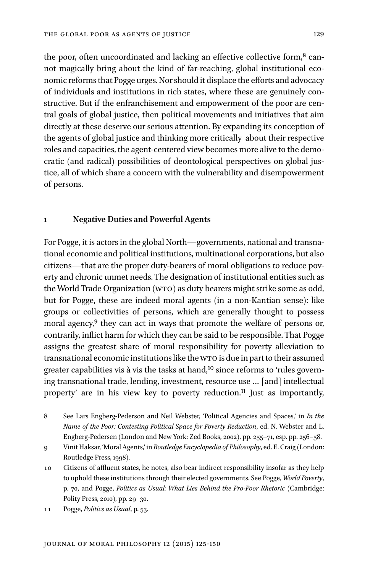the poor, often uncoordinated and lacking an effective collective form,<sup>8</sup> cannot magically bring about the kind of far-reaching, global institutional economic reforms that Pogge urges. Nor should it displace the efforts and advocacy of individuals and institutions in rich states, where these are genuinely constructive. But if the enfranchisement and empowerment of the poor are central goals of global justice, then political movements and initiatives that aim directly at these deserve our serious attention. By expanding its conception of the agents of global justice and thinking more critically about their respective roles and capacities, the agent-centered view becomes more alive to the democratic (and radical) possibilities of deontological perspectives on global justice, all of which share a concern with the vulnerability and disempowerment of persons.

## **1 Negative Duties and Powerful Agents**

For Pogge, it is actors in the global North—governments, national and transnational economic and political institutions, multinational corporations, but also citizens—that are the proper duty-bearers of moral obligations to reduce poverty and chronic unmet needs. The designation of institutional entities such as the World Trade Organization (wto) as duty bearers might strike some as odd, but for Pogge, these are indeed moral agents (in a non-Kantian sense): like groups or collectivities of persons, which are generally thought to possess moral agency,<sup>9</sup> they can act in ways that promote the welfare of persons or, contrarily, inflict harm for which they can be said to be responsible. That Pogge assigns the greatest share of moral responsibility for poverty alleviation to transnational economic institutions like the wto is due in part to their assumed greater capabilities vis à vis the tasks at hand,<sup>10</sup> since reforms to 'rules governing transnational trade, lending, investment, resource use … [and] intellectual property' are in his view key to poverty reduction.<sup>11</sup> Just as importantly,

<sup>8</sup> See Lars Engberg-Pederson and Neil Webster, 'Political Agencies and Spaces,' in *In the Name of the Poor: Contesting Political Space for Poverty Reduction*, ed. N. Webster and L. Engberg-Pedersen (London and New York: Zed Books, 2002), pp. 255–71, esp. pp. 256–58.

<sup>9</sup> Vinit Haksar, 'Moral Agents,' in *Routledge Encyclopedia of Philosophy*, ed. E. Craig (London: Routledge Press, 1998).

<sup>10</sup> Citizens of affluent states, he notes, also bear indirect responsibility insofar as they help to uphold these institutions through their elected governments. See Pogge, *World Poverty*, p. 70, and Pogge, *Politics as Usual: What Lies Behind the Pro-Poor Rhetoric* (Cambridge: Polity Press, 2010), pp. 29–30.

<sup>11</sup> Pogge, *Politics as Usual*, p. 53.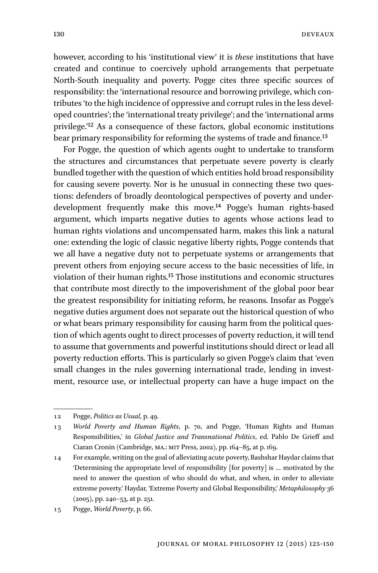however, according to his 'institutional view' it is *these* institutions that have created and continue to coercively uphold arrangements that perpetuate North-South inequality and poverty. Pogge cites three specific sources of responsibility: the 'international resource and borrowing privilege, which contributes 'to the high incidence of oppressive and corrupt rules in the less developed countries'; the 'international treaty privilege'; and the 'international arms privilege.'12 As a consequence of these factors, global economic institutions bear primary responsibility for reforming the systems of trade and finance.<sup>13</sup>

For Pogge, the question of which agents ought to undertake to transform the structures and circumstances that perpetuate severe poverty is clearly bundled together with the question of which entities hold broad responsibility for causing severe poverty. Nor is he unusual in connecting these two questions: defenders of broadly deontological perspectives of poverty and underdevelopment frequently make this move.<sup>14</sup> Pogge's human rights-based argument, which imparts negative duties to agents whose actions lead to human rights violations and uncompensated harm, makes this link a natural one: extending the logic of classic negative liberty rights, Pogge contends that we all have a negative duty not to perpetuate systems or arrangements that prevent others from enjoying secure access to the basic necessities of life, in violation of their human rights.15 Those institutions and economic structures that contribute most directly to the impoverishment of the global poor bear the greatest responsibility for initiating reform, he reasons. Insofar as Pogge's negative duties argument does not separate out the historical question of who or what bears primary responsibility for causing harm from the political question of which agents ought to direct processes of poverty reduction, it will tend to assume that governments and powerful institutions should direct or lead all poverty reduction efforts. This is particularly so given Pogge's claim that 'even small changes in the rules governing international trade, lending in investment, resource use, or intellectual property can have a huge impact on the

<sup>12</sup> Pogge, *Politics as Usual*, p. 49.

<sup>13</sup> *World Poverty and Human Rights*, p. 70, and Pogge, 'Human Rights and Human Responsibilities,' in *Global Justice and Transnational Politics*, ed. Pablo De Grieff and Ciaran Cronin (Cambridge, ma.: mit Press, 2002), pp. 164–85, at p. 169.

<sup>14</sup> For example, writing on the goal of alleviating acute poverty, Bashshar Haydar claims that 'Determining the appropriate level of responsibility [for poverty] is … motivated by the need to answer the question of who should do what, and when, in order to alleviate extreme poverty.' Haydar, 'Extreme Poverty and Global Responsibility,' *Metaphilosophy* 36 (2005), pp. 240–53, at p. 251.

<sup>15</sup> Pogge, *World Poverty*, p. 66.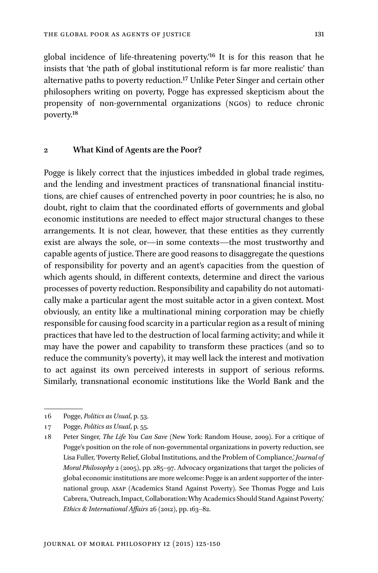global incidence of life-threatening poverty.'16 It is for this reason that he insists that 'the path of global institutional reform is far more realistic' than alternative paths to poverty reduction.17 Unlike Peter Singer and certain other philosophers writing on poverty, Pogge has expressed skepticism about the propensity of non-governmental organizations (ngos) to reduce chronic poverty.18

#### **2 What Kind of Agents are the Poor?**

Pogge is likely correct that the injustices imbedded in global trade regimes, and the lending and investment practices of transnational financial institutions, are chief causes of entrenched poverty in poor countries; he is also, no doubt, right to claim that the coordinated efforts of governments and global economic institutions are needed to effect major structural changes to these arrangements. It is not clear, however, that these entities as they currently exist are always the sole, or—in some contexts—the most trustworthy and capable agents of justice. There are good reasons to disaggregate the questions of responsibility for poverty and an agent's capacities from the question of which agents should, in different contexts, determine and direct the various processes of poverty reduction. Responsibility and capability do not automatically make a particular agent the most suitable actor in a given context. Most obviously, an entity like a multinational mining corporation may be chiefly responsible for causing food scarcity in a particular region as a result of mining practices that have led to the destruction of local farming activity; and while it may have the power and capability to transform these practices (and so to reduce the community's poverty), it may well lack the interest and motivation to act against its own perceived interests in support of serious reforms. Similarly, transnational economic institutions like the World Bank and the

<sup>16</sup> Pogge, *Politics as Usual*, p. 53.

<sup>17</sup> Pogge, *Politics as Usual*, p. 55.

<sup>18</sup> Peter Singer, *The Life You Can Save* (New York: Random House, 2009). For a critique of Pogge's position on the role of non-governmental organizations in poverty reduction, see Lisa Fuller, 'Poverty Relief, Global Institutions, and the Problem of Compliance,' *Journal of Moral Philosophy* 2 (2005), pp. 285–97. Advocacy organizations that target the policies of global economic institutions are more welcome: Pogge is an ardent supporter of the international group, asap (Academics Stand Against Poverty). See Thomas Pogge and Luis Cabrera, 'Outreach, Impact, Collaboration: Why Academics Should Stand Against Poverty,' *Ethics & International Affairs* 26 (2012), pp. 163–82.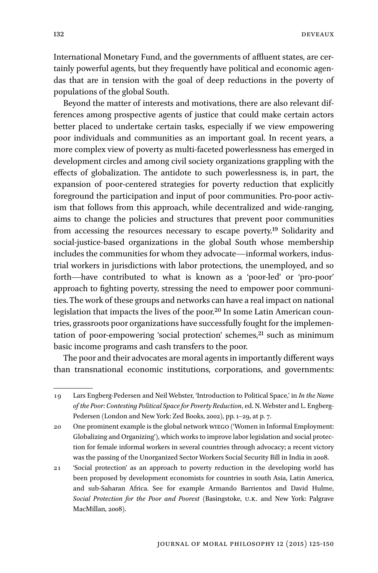International Monetary Fund, and the governments of affluent states, are certainly powerful agents, but they frequently have political and economic agendas that are in tension with the goal of deep reductions in the poverty of populations of the global South.

Beyond the matter of interests and motivations, there are also relevant differences among prospective agents of justice that could make certain actors better placed to undertake certain tasks, especially if we view empowering poor individuals and communities as an important goal. In recent years, a more complex view of poverty as multi-faceted powerlessness has emerged in development circles and among civil society organizations grappling with the effects of globalization. The antidote to such powerlessness is, in part, the expansion of poor-centered strategies for poverty reduction that explicitly foreground the participation and input of poor communities. Pro-poor activism that follows from this approach, while decentralized and wide-ranging, aims to change the policies and structures that prevent poor communities from accessing the resources necessary to escape poverty.<sup>19</sup> Solidarity and social-justice-based organizations in the global South whose membership includes the communities for whom they advocate—informal workers, industrial workers in jurisdictions with labor protections, the unemployed, and so forth—have contributed to what is known as a 'poor-led' or 'pro-poor' approach to fighting poverty, stressing the need to empower poor communities. The work of these groups and networks can have a real impact on national legislation that impacts the lives of the poor.20 In some Latin American countries, grassroots poor organizations have successfully fought for the implementation of poor-empowering 'social protection' schemes,<sup>21</sup> such as minimum basic income programs and cash transfers to the poor.

The poor and their advocates are moral agents in importantly different ways than transnational economic institutions, corporations, and governments:

<sup>19</sup> Lars Engberg-Pedersen and Neil Webster, 'Introduction to Political Space,' in *In the Name of the Poor: Contesting Political Space for Poverty Reduction*, ed. N. Webster and L. Engberg-Pedersen (London and New York: Zed Books, 2002), pp. 1–29, at p. 7.

<sup>20</sup> One prominent example is the global network wiego ('Women in Informal Employment: Globalizing and Organizing'), which works to improve labor legislation and social protection for female informal workers in several countries through advocacy; a recent victory was the passing of the Unorganized Sector Workers Social Security Bill in India in 2008.

<sup>21</sup> 'Social protection' as an approach to poverty reduction in the developing world has been proposed by development economists for countries in south Asia, Latin America, and sub-Saharan Africa. See for example Armando Barrientos and David Hulme, *Social Protection for the Poor and Poorest* (Basingstoke, u.k. and New York: Palgrave MacMillan, 2008).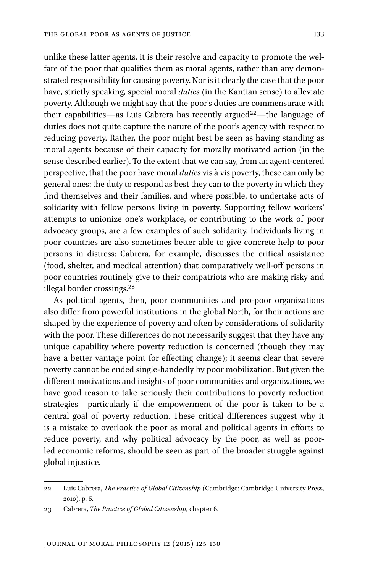unlike these latter agents, it is their resolve and capacity to promote the welfare of the poor that qualifies them as moral agents, rather than any demonstrated responsibility for causing poverty. Nor is it clearly the case that the poor have, strictly speaking, special moral *duties* (in the Kantian sense) to alleviate poverty. Although we might say that the poor's duties are commensurate with their capabilities—as Luis Cabrera has recently argued $22$ —the language of duties does not quite capture the nature of the poor's agency with respect to reducing poverty. Rather, the poor might best be seen as having standing as moral agents because of their capacity for morally motivated action (in the sense described earlier). To the extent that we can say, from an agent-centered perspective, that the poor have moral *duties* vis à vis poverty, these can only be general ones: the duty to respond as best they can to the poverty in which they

find themselves and their families, and where possible, to undertake acts of solidarity with fellow persons living in poverty. Supporting fellow workers' attempts to unionize one's workplace, or contributing to the work of poor advocacy groups, are a few examples of such solidarity. Individuals living in poor countries are also sometimes better able to give concrete help to poor persons in distress: Cabrera, for example, discusses the critical assistance (food, shelter, and medical attention) that comparatively well-off persons in poor countries routinely give to their compatriots who are making risky and illegal border crossings.23

As political agents, then, poor communities and pro-poor organizations also differ from powerful institutions in the global North, for their actions are shaped by the experience of poverty and often by considerations of solidarity with the poor. These differences do not necessarily suggest that they have any unique capability where poverty reduction is concerned (though they may have a better vantage point for effecting change); it seems clear that severe poverty cannot be ended single-handedly by poor mobilization. But given the different motivations and insights of poor communities and organizations, we have good reason to take seriously their contributions to poverty reduction strategies—particularly if the empowerment of the poor is taken to be a central goal of poverty reduction. These critical differences suggest why it is a mistake to overlook the poor as moral and political agents in efforts to reduce poverty, and why political advocacy by the poor, as well as poorled economic reforms, should be seen as part of the broader struggle against global injustice.

<sup>22</sup> Luis Cabrera, *The Practice of Global Citizenship* (Cambridge: Cambridge University Press, 2010), p. 6.

<sup>23</sup> Cabrera, *The Practice of Global Citizenship*, chapter 6.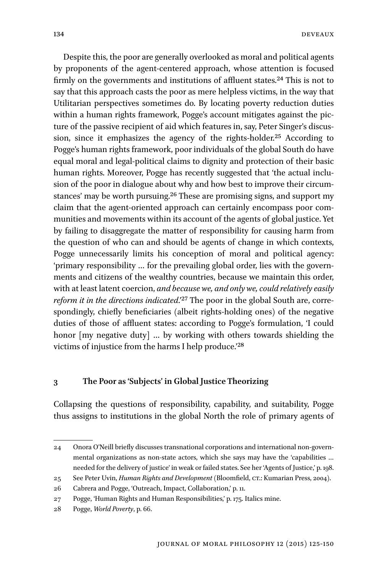Despite this, the poor are generally overlooked as moral and political agents by proponents of the agent-centered approach, whose attention is focused firmly on the governments and institutions of affluent states.<sup>24</sup> This is not to say that this approach casts the poor as mere helpless victims, in the way that Utilitarian perspectives sometimes do. By locating poverty reduction duties within a human rights framework, Pogge's account mitigates against the picture of the passive recipient of aid which features in, say, Peter Singer's discussion, since it emphasizes the agency of the rights-holder.25 According to Pogge's human rights framework, poor individuals of the global South do have equal moral and legal-political claims to dignity and protection of their basic human rights. Moreover, Pogge has recently suggested that 'the actual inclusion of the poor in dialogue about why and how best to improve their circumstances' may be worth pursuing.26 These are promising signs, and support my claim that the agent-oriented approach can certainly encompass poor communities and movements within its account of the agents of global justice. Yet by failing to disaggregate the matter of responsibility for causing harm from the question of who can and should be agents of change in which contexts, Pogge unnecessarily limits his conception of moral and political agency: 'primary responsibility … for the prevailing global order, lies with the governments and citizens of the wealthy countries, because we maintain this order, with at least latent coercion, *and because we, and only we, could relatively easily reform it in the directions indicated.*<sup>27</sup> The poor in the global South are, correspondingly, chiefly beneficiaries (albeit rights-holding ones) of the negative duties of those of affluent states: according to Pogge's formulation, 'I could honor [my negative duty] … by working with others towards shielding the victims of injustice from the harms I help produce.'28

## **3 The Poor as 'Subjects' in Global Justice Theorizing**

Collapsing the questions of responsibility, capability, and suitability, Pogge thus assigns to institutions in the global North the role of primary agents of

<sup>24</sup> Onora O'Neill briefly discusses transnational corporations and international non-governmental organizations as non-state actors, which she says may have the 'capabilities … needed for the delivery of justice' in weak or failed states. See her 'Agents of Justice,' p. 198.

<sup>25</sup> See Peter Uvin, *Human Rights and Development* (Bloomfield, ct.: Kumarian Press, 2004).

<sup>26</sup> Cabrera and Pogge, 'Outreach, Impact, Collaboration,' p. 11.

<sup>27</sup> Pogge, 'Human Rights and Human Responsibilities,' p. 175. Italics mine.

<sup>28</sup> Pogge, *World Poverty*, p. 66.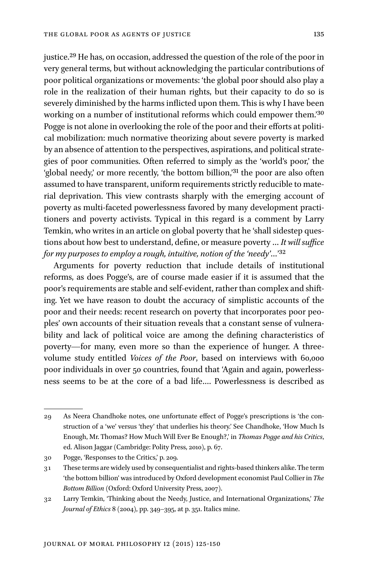justice.29 He has, on occasion, addressed the question of the role of the poor in very general terms, but without acknowledging the particular contributions of poor political organizations or movements: 'the global poor should also play a role in the realization of their human rights, but their capacity to do so is severely diminished by the harms inflicted upon them. This is why I have been working on a number of institutional reforms which could empower them.'30 Pogge is not alone in overlooking the role of the poor and their efforts at political mobilization: much normative theorizing about severe poverty is marked by an absence of attention to the perspectives, aspirations, and political strategies of poor communities. Often referred to simply as the 'world's poor,' the 'global needy,' or more recently, 'the bottom billion,'<sup>31</sup> the poor are also often assumed to have transparent, uniform requirements strictly reducible to material deprivation. This view contrasts sharply with the emerging account of poverty as multi-faceted powerlessness favored by many development practitioners and poverty activists. Typical in this regard is a comment by Larry Temkin, who writes in an article on global poverty that he 'shall sidestep questions about how best to understand, define, or measure poverty … *It will suffice for my purposes to employ a rough, intuitive, notion of the 'needy'*…'32

Arguments for poverty reduction that include details of institutional reforms, as does Pogge's, are of course made easier if it is assumed that the poor's requirements are stable and self-evident, rather than complex and shifting. Yet we have reason to doubt the accuracy of simplistic accounts of the poor and their needs: recent research on poverty that incorporates poor peoples' own accounts of their situation reveals that a constant sense of vulnerability and lack of political voice are among the defining characteristics of poverty—for many, even more so than the experience of hunger. A threevolume study entitled *Voices of the Poor*, based on interviews with 60,000 poor individuals in over 50 countries, found that 'Again and again, powerlessness seems to be at the core of a bad life…. Powerlessness is described as

<sup>29</sup> As Neera Chandhoke notes, one unfortunate effect of Pogge's prescriptions is 'the construction of a 'we' versus 'they' that underlies his theory.' See Chandhoke, 'How Much Is Enough, Mr. Thomas? How Much Will Ever Be Enough?,' in *Thomas Pogge and his Critics*, ed. Alison Jaggar (Cambridge: Polity Press, 2010), p. 67.

<sup>30</sup> Pogge, 'Responses to the Critics,' p. 209.

<sup>31</sup> These terms are widely used by consequentialist and rights-based thinkers alike. The term 'the bottom billion' was introduced by Oxford development economist Paul Collier in *The Bottom Billion* (Oxford: Oxford University Press, 2007).

<sup>32</sup> Larry Temkin, 'Thinking about the Needy, Justice, and International Organizations,' *The Journal of Ethics* 8 (2004), pp. 349–395, at p. 351. Italics mine.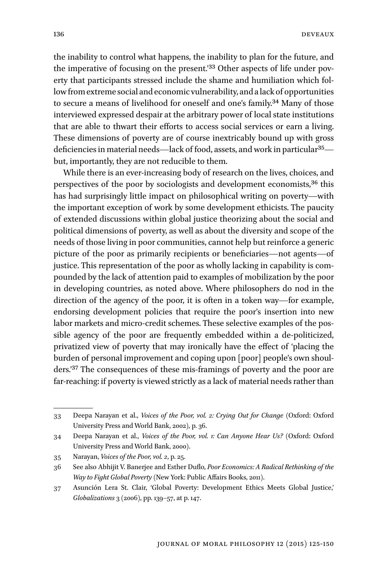the inability to control what happens, the inability to plan for the future, and the imperative of focusing on the present.'33 Other aspects of life under poverty that participants stressed include the shame and humiliation which follow from extreme social and economic vulnerability, and a lack of opportunities to secure a means of livelihood for oneself and one's family.34 Many of those interviewed expressed despair at the arbitrary power of local state institutions that are able to thwart their efforts to access social services or earn a living. These dimensions of poverty are of course inextricably bound up with gross deficiencies in material needs—lack of food, assets, and work in particular<sup>35</sup> but, importantly, they are not reducible to them.

While there is an ever-increasing body of research on the lives, choices, and perspectives of the poor by sociologists and development economists,36 this has had surprisingly little impact on philosophical writing on poverty—with the important exception of work by some development ethicists. The paucity of extended discussions within global justice theorizing about the social and political dimensions of poverty, as well as about the diversity and scope of the needs of those living in poor communities, cannot help but reinforce a generic picture of the poor as primarily recipients or beneficiaries—not agents—of justice. This representation of the poor as wholly lacking in capability is compounded by the lack of attention paid to examples of mobilization by the poor in developing countries, as noted above. Where philosophers do nod in the direction of the agency of the poor, it is often in a token way—for example, endorsing development policies that require the poor's insertion into new labor markets and micro-credit schemes. These selective examples of the possible agency of the poor are frequently embedded within a de-politicized, privatized view of poverty that may ironically have the effect of 'placing the burden of personal improvement and coping upon [poor] people's own shoulders.'37 The consequences of these mis-framings of poverty and the poor are far-reaching: if poverty is viewed strictly as a lack of material needs rather than

<sup>33</sup> Deepa Narayan et al., *Voices of the Poor, vol. 2: Crying Out for Change* (Oxford: Oxford University Press and World Bank, 2002), p. 36.

<sup>34</sup> Deepa Narayan et al., *Voices of the Poor, vol. 1: Can Anyone Hear Us?* (Oxford: Oxford University Press and World Bank, 2000).

<sup>35</sup> Narayan, *Voices of the Poor, vol. 2*, p. 25.

<sup>36</sup> See also Abhijit V. Banerjee and Esther Duflo, *Poor Economics: A Radical Rethinking of the Way to Fight Global Poverty* (New York: Public Affairs Books, 2011).

<sup>37</sup> Asunción Lera St. Clair, 'Global Poverty: Development Ethics Meets Global Justice,' *Globalizations* 3 (2006), pp. 139–57, at p. 147.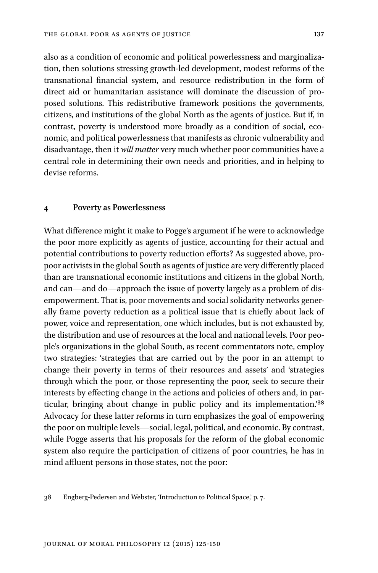also as a condition of economic and political powerlessness and marginalization, then solutions stressing growth-led development, modest reforms of the transnational financial system, and resource redistribution in the form of direct aid or humanitarian assistance will dominate the discussion of proposed solutions. This redistributive framework positions the governments, citizens, and institutions of the global North as the agents of justice. But if, in contrast, poverty is understood more broadly as a condition of social, economic, and political powerlessness that manifests as chronic vulnerability and disadvantage, then it *will matter* very much whether poor communities have a central role in determining their own needs and priorities, and in helping to devise reforms.

#### **4 Poverty as Powerlessness**

What difference might it make to Pogge's argument if he were to acknowledge the poor more explicitly as agents of justice, accounting for their actual and potential contributions to poverty reduction efforts? As suggested above, propoor activists in the global South as agents of justice are very differently placed than are transnational economic institutions and citizens in the global North, and can—and do—approach the issue of poverty largely as a problem of disempowerment. That is, poor movements and social solidarity networks generally frame poverty reduction as a political issue that is chiefly about lack of power, voice and representation, one which includes, but is not exhausted by, the distribution and use of resources at the local and national levels. Poor people's organizations in the global South, as recent commentators note, employ two strategies: 'strategies that are carried out by the poor in an attempt to change their poverty in terms of their resources and assets' and 'strategies through which the poor, or those representing the poor, seek to secure their interests by effecting change in the actions and policies of others and, in particular, bringing about change in public policy and its implementation.'38 Advocacy for these latter reforms in turn emphasizes the goal of empowering the poor on multiple levels—social, legal, political, and economic. By contrast, while Pogge asserts that his proposals for the reform of the global economic system also require the participation of citizens of poor countries, he has in mind affluent persons in those states, not the poor:

<sup>38</sup> Engberg-Pedersen and Webster, 'Introduction to Political Space,' p. 7.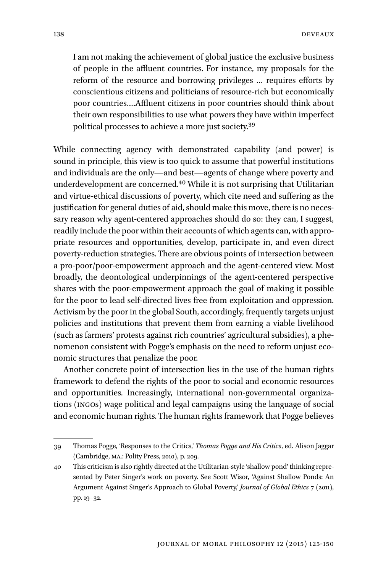I am not making the achievement of global justice the exclusive business of people in the affluent countries. For instance, my proposals for the reform of the resource and borrowing privileges … requires efforts by conscientious citizens and politicians of resource-rich but economically poor countries….Affluent citizens in poor countries should think about their own responsibilities to use what powers they have within imperfect political processes to achieve a more just society.39

While connecting agency with demonstrated capability (and power) is sound in principle, this view is too quick to assume that powerful institutions and individuals are the only—and best—agents of change where poverty and underdevelopment are concerned.40 While it is not surprising that Utilitarian and virtue-ethical discussions of poverty, which cite need and suffering as the justification for general duties of aid, should make this move, there is no necessary reason why agent-centered approaches should do so: they can, I suggest, readily include the poor within their accounts of which agents can, with appropriate resources and opportunities, develop, participate in, and even direct poverty-reduction strategies. There are obvious points of intersection between a pro-poor/poor-empowerment approach and the agent-centered view. Most broadly, the deontological underpinnings of the agent-centered perspective shares with the poor-empowerment approach the goal of making it possible for the poor to lead self-directed lives free from exploitation and oppression. Activism by the poor in the global South, accordingly, frequently targets unjust policies and institutions that prevent them from earning a viable livelihood (such as farmers' protests against rich countries' agricultural subsidies), a phenomenon consistent with Pogge's emphasis on the need to reform unjust economic structures that penalize the poor.

Another concrete point of intersection lies in the use of the human rights framework to defend the rights of the poor to social and economic resources and opportunities. Increasingly, international non-governmental organizations (ingos) wage political and legal campaigns using the language of social and economic human rights. The human rights framework that Pogge believes

<sup>39</sup> Thomas Pogge, 'Responses to the Critics,' *Thomas Pogge and His Critics*, ed. Alison Jaggar (Cambridge, ma.: Polity Press, 2010), p. 209.

<sup>40</sup> This criticism is also rightly directed at the Utilitarian-style 'shallow pond' thinking represented by Peter Singer's work on poverty. See Scott Wisor, 'Against Shallow Ponds: An Argument Against Singer's Approach to Global Poverty,' *Journal of Global Ethics* 7 (2011), pp. 19–32.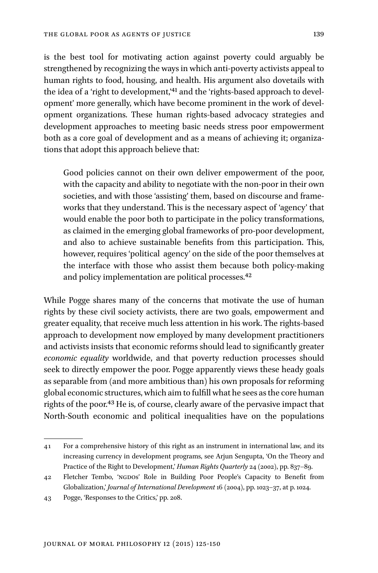is the best tool for motivating action against poverty could arguably be strengthened by recognizing the ways in which anti-poverty activists appeal to human rights to food, housing, and health. His argument also dovetails with the idea of a 'right to development,'<sup>41</sup> and the 'rights-based approach to development' more generally, which have become prominent in the work of development organizations. These human rights-based advocacy strategies and development approaches to meeting basic needs stress poor empowerment both as a core goal of development and as a means of achieving it; organizations that adopt this approach believe that:

Good policies cannot on their own deliver empowerment of the poor, with the capacity and ability to negotiate with the non-poor in their own societies, and with those 'assisting' them, based on discourse and frameworks that they understand. This is the necessary aspect of 'agency' that would enable the poor both to participate in the policy transformations, as claimed in the emerging global frameworks of pro-poor development, and also to achieve sustainable benefits from this participation. This, however, requires 'political agency' on the side of the poor themselves at the interface with those who assist them because both policy-making and policy implementation are political processes.42

While Pogge shares many of the concerns that motivate the use of human rights by these civil society activists, there are two goals, empowerment and greater equality, that receive much less attention in his work. The rights-based approach to development now employed by many development practitioners and activists insists that economic reforms should lead to significantly greater *economic equality* worldwide, and that poverty reduction processes should seek to directly empower the poor. Pogge apparently views these heady goals as separable from (and more ambitious than) his own proposals for reforming global economic structures, which aim to fulfill what he sees as the core human rights of the poor.<sup>43</sup> He is, of course, clearly aware of the pervasive impact that North-South economic and political inequalities have on the populations

<sup>41</sup> For a comprehensive history of this right as an instrument in international law, and its increasing currency in development programs, see Arjun Sengupta, 'On the Theory and Practice of the Right to Development,' *Human Rights Quarterly* 24 (2002), pp. 837–89.

<sup>42</sup> Fletcher Tembo, 'ngdos' Role in Building Poor People's Capacity to Benefit from Globalization,' *Journal of International Development* 16 (2004), pp. 1023–37, at p. 1024.

<sup>43</sup> Pogge, 'Responses to the Critics,' pp. 208.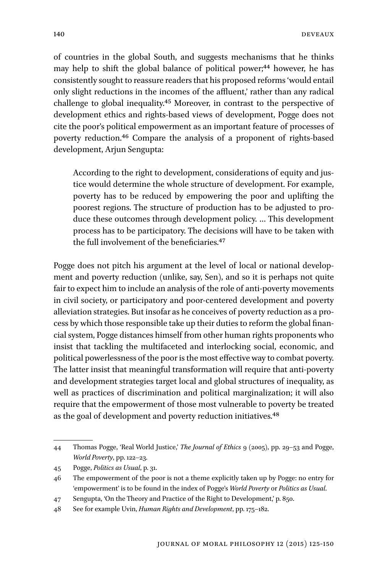of countries in the global South, and suggests mechanisms that he thinks may help to shift the global balance of political power;<sup>44</sup> however, he has consistently sought to reassure readers that his proposed reforms 'would entail only slight reductions in the incomes of the affluent,' rather than any radical challenge to global inequality.45 Moreover, in contrast to the perspective of development ethics and rights-based views of development, Pogge does not cite the poor's political empowerment as an important feature of processes of poverty reduction.46 Compare the analysis of a proponent of rights-based development, Arjun Sengupta:

According to the right to development, considerations of equity and justice would determine the whole structure of development. For example, poverty has to be reduced by empowering the poor and uplifting the poorest regions. The structure of production has to be adjusted to produce these outcomes through development policy. … This development process has to be participatory. The decisions will have to be taken with the full involvement of the beneficiaries.47

Pogge does not pitch his argument at the level of local or national development and poverty reduction (unlike, say, Sen), and so it is perhaps not quite fair to expect him to include an analysis of the role of anti-poverty movements in civil society, or participatory and poor-centered development and poverty alleviation strategies. But insofar as he conceives of poverty reduction as a process by which those responsible take up their duties to reform the global financial system, Pogge distances himself from other human rights proponents who insist that tackling the multifaceted and interlocking social, economic, and political powerlessness of the poor is the most effective way to combat poverty. The latter insist that meaningful transformation will require that anti-poverty and development strategies target local and global structures of inequality, as well as practices of discrimination and political marginalization; it will also require that the empowerment of those most vulnerable to poverty be treated as the goal of development and poverty reduction initiatives.<sup>48</sup>

<sup>44</sup> Thomas Pogge, 'Real World Justice,' *The Journal of Ethics* 9 (2005), pp. 29–53 and Pogge, *World Poverty*, pp. 122–23.

<sup>45</sup> Pogge, *Politics as Usual*, p. 31.

<sup>46</sup> The empowerment of the poor is not a theme explicitly taken up by Pogge: no entry for 'empowerment' is to be found in the index of Pogge's *World Poverty* or *Politics as Usual*.

<sup>47</sup> Sengupta, 'On the Theory and Practice of the Right to Development,' p. 850.

<sup>48</sup> See for example Uvin, *Human Rights and Development*, pp. 175–182.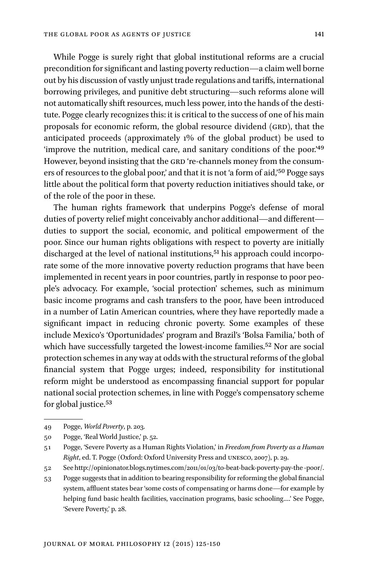While Pogge is surely right that global institutional reforms are a crucial precondition for significant and lasting poverty reduction—a claim well borne out by his discussion of vastly unjust trade regulations and tariffs, international borrowing privileges, and punitive debt structuring—such reforms alone will not automatically shift resources, much less power, into the hands of the destitute. Pogge clearly recognizes this: it is critical to the success of one of his main proposals for economic reform, the global resource dividend (GRD), that the anticipated proceeds (approximately 1% of the global product) be used to 'improve the nutrition, medical care, and sanitary conditions of the poor.'49 However, beyond insisting that the GRD 're-channels money from the consumers of resources to the global poor,' and that it is not 'a form of aid,'50 Pogge says little about the political form that poverty reduction initiatives should take, or of the role of the poor in these.

The human rights framework that underpins Pogge's defense of moral duties of poverty relief might conceivably anchor additional—and different duties to support the social, economic, and political empowerment of the poor. Since our human rights obligations with respect to poverty are initially discharged at the level of national institutions,<sup>51</sup> his approach could incorporate some of the more innovative poverty reduction programs that have been implemented in recent years in poor countries, partly in response to poor people's advocacy. For example, 'social protection' schemes, such as minimum basic income programs and cash transfers to the poor, have been introduced in a number of Latin American countries, where they have reportedly made a significant impact in reducing chronic poverty. Some examples of these include Mexico's 'Oportunidades' program and Brazil's 'Bolsa Familia,' both of which have successfully targeted the lowest-income families.<sup>52</sup> Nor are social protection schemes in any way at odds with the structural reforms of the global financial system that Pogge urges; indeed, responsibility for institutional reform might be understood as encompassing financial support for popular national social protection schemes, in line with Pogge's compensatory scheme for global justice.53

<sup>49</sup> Pogge, *World Poverty*, p. 203.

<sup>50</sup> Pogge, 'Real World Justice,' p. 52.

<sup>51</sup> Pogge, 'Severe Poverty as a Human Rights Violation,' in *Freedom from Poverty as a Human Right*, ed. T. Pogge (Oxford: Oxford University Press and unesco, 2007), p. 29.

<sup>52</sup> See<http://opinionator.blogs.nytimes.com/2011/01/03/to-beat-back-poverty-pay-the -poor/>.

<sup>53</sup> Pogge suggests that in addition to bearing responsibility for reforming the global financial system, affluent states bear 'some costs of compensating or harms done—for example by helping fund basic health facilities, vaccination programs, basic schooling….' See Pogge, 'Severe Poverty,' p. 28.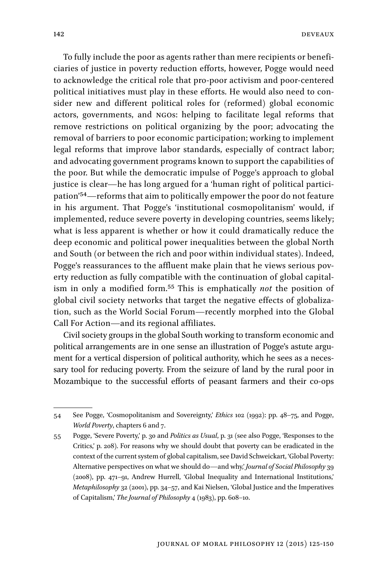To fully include the poor as agents rather than mere recipients or beneficiaries of justice in poverty reduction efforts, however, Pogge would need to acknowledge the critical role that pro-poor activism and poor-centered political initiatives must play in these efforts. He would also need to consider new and different political roles for (reformed) global economic actors, governments, and ngos: helping to facilitate legal reforms that remove restrictions on political organizing by the poor; advocating the removal of barriers to poor economic participation; working to implement legal reforms that improve labor standards, especially of contract labor; and advocating government programs known to support the capabilities of the poor. But while the democratic impulse of Pogge's approach to global justice is clear—he has long argued for a 'human right of political participation'54—reforms that aim to politically empower the poor do not feature in his argument. That Pogge's 'institutional cosmopolitanism' would, if implemented, reduce severe poverty in developing countries, seems likely; what is less apparent is whether or how it could dramatically reduce the deep economic and political power inequalities between the global North and South (or between the rich and poor within individual states). Indeed, Pogge's reassurances to the affluent make plain that he views serious poverty reduction as fully compatible with the continuation of global capitalism in only a modified form.55 This is emphatically *not* the position of global civil society networks that target the negative effects of globalization, such as the World Social Forum—recently morphed into the Global Call For Action—and its regional affiliates.

Civil society groups in the global South working to transform economic and political arrangements are in one sense an illustration of Pogge's astute argument for a vertical dispersion of political authority, which he sees as a necessary tool for reducing poverty. From the seizure of land by the rural poor in Mozambique to the successful efforts of peasant farmers and their co-ops

<sup>54</sup> See Pogge, 'Cosmopolitanism and Sovereignty,' *Ethics* 102 (1992): pp. 48–75, and Pogge, *World Poverty*, chapters 6 and 7.

<sup>55</sup> Pogge, 'Severe Poverty,' p. 30 and *Politics as Usual*, p. 31 (see also Pogge, 'Responses to the Critics,' p. 208). For reasons why we should doubt that poverty can be eradicated in the context of the current system of global capitalism, see David Schweickart, 'Global Poverty: Alternative perspectives on what we should do—and why,' *Journal of Social Philosophy* 39 (2008), pp. 471–91, Andrew Hurrell, 'Global Inequality and International Institutions,' *Metaphilosophy* 32 (2001), pp. 34–57, and Kai Nielsen, 'Global Justice and the Imperatives of Capitalism,' *The Journal of Philosophy* 4 (1983), pp. 608–10.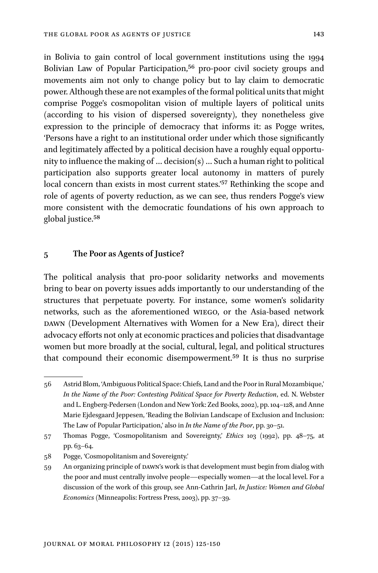in Bolivia to gain control of local government institutions using the 1994 Bolivian Law of Popular Participation,<sup>56</sup> pro-poor civil society groups and movements aim not only to change policy but to lay claim to democratic power. Although these are not examples of the formal political units that might comprise Pogge's cosmopolitan vision of multiple layers of political units (according to his vision of dispersed sovereignty), they nonetheless give expression to the principle of democracy that informs it: as Pogge writes, 'Persons have a right to an institutional order under which those significantly and legitimately affected by a political decision have a roughly equal opportunity to influence the making of … decision(s) … Such a human right to political participation also supports greater local autonomy in matters of purely local concern than exists in most current states.<sup>'57</sup> Rethinking the scope and role of agents of poverty reduction, as we can see, thus renders Pogge's view more consistent with the democratic foundations of his own approach to global justice.58

## **5 The Poor as Agents of Justice?**

The political analysis that pro-poor solidarity networks and movements bring to bear on poverty issues adds importantly to our understanding of the structures that perpetuate poverty. For instance, some women's solidarity networks, such as the aforementioned wiego, or the Asia-based network DAWN (Development Alternatives with Women for a New Era), direct their advocacy efforts not only at economic practices and policies that disadvantage women but more broadly at the social, cultural, legal, and political structures that compound their economic disempowerment.<sup>59</sup> It is thus no surprise

<sup>56</sup> Astrid Blom, 'Ambiguous Political Space: Chiefs, Land and the Poor in Rural Mozambique,' *In the Name of the Poor: Contesting Political Space for Poverty Reduction*, ed. N. Webster and L. Engberg-Pedersen (London and New York: Zed Books, 2002), pp. 104–128, and Anne Marie Ejdesgaard Jeppesen, 'Reading the Bolivian Landscape of Exclusion and Inclusion: The Law of Popular Participation,' also in *In the Name of the Poor*, pp. 30–51.

<sup>57</sup> Thomas Pogge, 'Cosmopolitanism and Sovereignty,' *Ethics* 103 (1992), pp. 48–75, at pp. 63–64.

<sup>58</sup> Pogge, 'Cosmopolitanism and Sovereignty.'

<sup>59</sup> An organizing principle of dawn's work is that development must begin from dialog with the poor and must centrally involve people—especially women—at the local level. For a discussion of the work of this group, see Ann-Cathrin Jarl, *In Justice: Women and Global Economics* (Minneapolis: Fortress Press, 2003), pp. 37–39.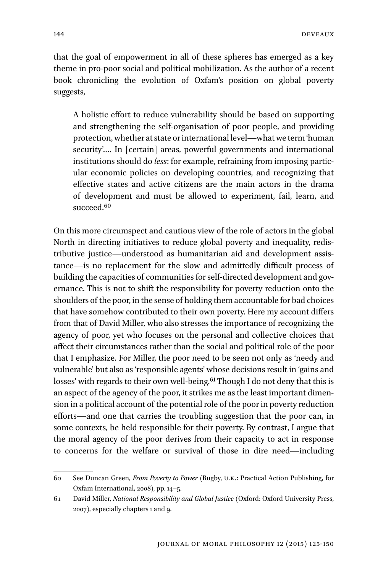that the goal of empowerment in all of these spheres has emerged as a key theme in pro-poor social and political mobilization. As the author of a recent book chronicling the evolution of Oxfam's position on global poverty suggests,

A holistic effort to reduce vulnerability should be based on supporting and strengthening the self-organisation of poor people, and providing protection, whether at state or international level—what we term 'human security'…. In [certain] areas, powerful governments and international institutions should do *less*: for example, refraining from imposing particular economic policies on developing countries, and recognizing that effective states and active citizens are the main actors in the drama of development and must be allowed to experiment, fail, learn, and succeed.<sup>60</sup>

On this more circumspect and cautious view of the role of actors in the global North in directing initiatives to reduce global poverty and inequality, redistributive justice—understood as humanitarian aid and development assistance—is no replacement for the slow and admittedly difficult process of building the capacities of communities for self-directed development and governance. This is not to shift the responsibility for poverty reduction onto the shoulders of the poor, in the sense of holding them accountable for bad choices that have somehow contributed to their own poverty. Here my account differs from that of David Miller, who also stresses the importance of recognizing the agency of poor, yet who focuses on the personal and collective choices that affect their circumstances rather than the social and political role of the poor that I emphasize. For Miller, the poor need to be seen not only as 'needy and vulnerable' but also as 'responsible agents' whose decisions result in 'gains and losses' with regards to their own well-being.61 Though I do not deny that this is an aspect of the agency of the poor, it strikes me as the least important dimension in a political account of the potential role of the poor in poverty reduction efforts—and one that carries the troubling suggestion that the poor can, in some contexts, be held responsible for their poverty. By contrast, I argue that the moral agency of the poor derives from their capacity to act in response to concerns for the welfare or survival of those in dire need—including

<sup>60</sup> See Duncan Green, *From Poverty to Power* (Rugby, u.k.: Practical Action Publishing, for Oxfam International, 2008), pp. 14–5.

<sup>61</sup> David Miller, *National Responsibility and Global Justice* (Oxford: Oxford University Press, 2007), especially chapters 1 and 9.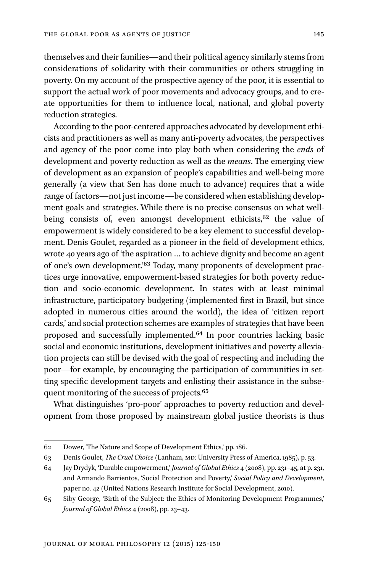themselves and their families—and their political agency similarly stems from considerations of solidarity with their communities or others struggling in poverty. On my account of the prospective agency of the poor, it is essential to support the actual work of poor movements and advocacy groups, and to create opportunities for them to influence local, national, and global poverty reduction strategies.

According to the poor-centered approaches advocated by development ethicists and practitioners as well as many anti-poverty advocates, the perspectives and agency of the poor come into play both when considering the *ends* of development and poverty reduction as well as the *means*. The emerging view of development as an expansion of people's capabilities and well-being more generally (a view that Sen has done much to advance) requires that a wide range of factors—not just income—be considered when establishing development goals and strategies. While there is no precise consensus on what wellbeing consists of, even amongst development ethicists,<sup>62</sup> the value of empowerment is widely considered to be a key element to successful development. Denis Goulet, regarded as a pioneer in the field of development ethics, wrote 40 years ago of 'the aspiration … to achieve dignity and become an agent of one's own development.'63 Today, many proponents of development practices urge innovative, empowerment-based strategies for both poverty reduction and socio-economic development. In states with at least minimal infrastructure, participatory budgeting (implemented first in Brazil, but since adopted in numerous cities around the world), the idea of 'citizen report cards,' and social protection schemes are examples of strategies that have been proposed and successfully implemented.64 In poor countries lacking basic social and economic institutions, development initiatives and poverty alleviation projects can still be devised with the goal of respecting and including the poor—for example, by encouraging the participation of communities in setting specific development targets and enlisting their assistance in the subsequent monitoring of the success of projects.<sup>65</sup>

What distinguishes 'pro-poor' approaches to poverty reduction and development from those proposed by mainstream global justice theorists is thus

<sup>62</sup> Dower, 'The Nature and Scope of Development Ethics,' pp. 186.

<sup>63</sup> Denis Goulet, *The Cruel Choice* (Lanham, MD: University Press of America, 1985), p. 53.

<sup>64</sup> Jay Drydyk, 'Durable empowerment,' *Journal of Global Ethics* 4 (2008), pp. 231–45, at p. 231, and Armando Barrientos, 'Social Protection and Poverty,' *Social Policy and Development*, paper no. 42 (United Nations Research Institute for Social Development, 2010).

<sup>65</sup> Siby George, 'Birth of the Subject: the Ethics of Monitoring Development Programmes,' *Journal of Global Ethics* 4 (2008), pp. 23–43.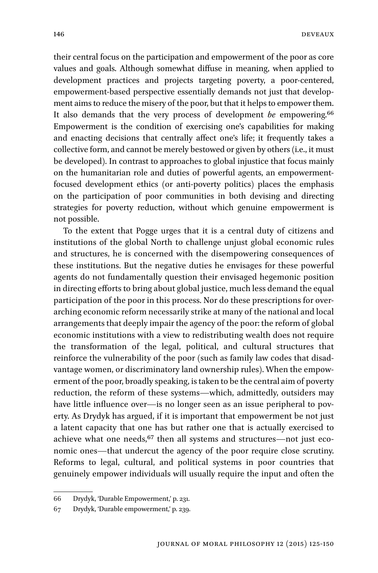their central focus on the participation and empowerment of the poor as core values and goals. Although somewhat diffuse in meaning, when applied to development practices and projects targeting poverty, a poor-centered, empowerment-based perspective essentially demands not just that development aims to reduce the misery of the poor, but that it helps to empower them. It also demands that the very process of development *be* empowering.66 Empowerment is the condition of exercising one's capabilities for making and enacting decisions that centrally affect one's life; it frequently takes a collective form, and cannot be merely bestowed or given by others (i.e., it must be developed). In contrast to approaches to global injustice that focus mainly on the humanitarian role and duties of powerful agents, an empowermentfocused development ethics (or anti-poverty politics) places the emphasis on the participation of poor communities in both devising and directing strategies for poverty reduction, without which genuine empowerment is not possible.

To the extent that Pogge urges that it is a central duty of citizens and institutions of the global North to challenge unjust global economic rules and structures, he is concerned with the disempowering consequences of these institutions. But the negative duties he envisages for these powerful agents do not fundamentally question their envisaged hegemonic position in directing efforts to bring about global justice, much less demand the equal participation of the poor in this process. Nor do these prescriptions for overarching economic reform necessarily strike at many of the national and local arrangements that deeply impair the agency of the poor: the reform of global economic institutions with a view to redistributing wealth does not require the transformation of the legal, political, and cultural structures that reinforce the vulnerability of the poor (such as family law codes that disadvantage women, or discriminatory land ownership rules). When the empowerment of the poor, broadly speaking, is taken to be the central aim of poverty reduction, the reform of these systems—which, admittedly, outsiders may have little influence over—is no longer seen as an issue peripheral to poverty. As Drydyk has argued, if it is important that empowerment be not just a latent capacity that one has but rather one that is actually exercised to achieve what one needs,<sup>67</sup> then all systems and structures—not just economic ones—that undercut the agency of the poor require close scrutiny. Reforms to legal, cultural, and political systems in poor countries that genuinely empower individuals will usually require the input and often the

<sup>66</sup> Drydyk, 'Durable Empowerment,' p. 231.

<sup>67</sup> Drydyk, 'Durable empowerment,' p. 239.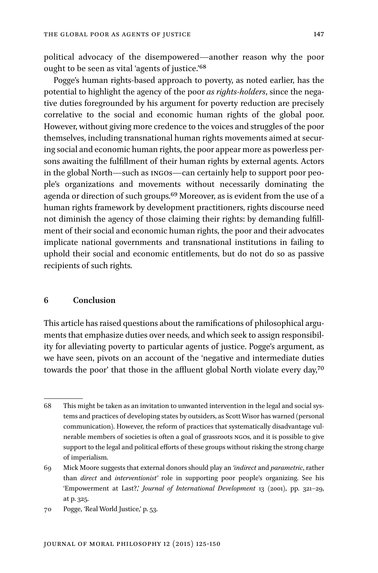political advocacy of the disempowered—another reason why the poor ought to be seen as vital 'agents of justice.'68

Pogge's human rights-based approach to poverty, as noted earlier, has the potential to highlight the agency of the poor *as rights-holders*, since the negative duties foregrounded by his argument for poverty reduction are precisely correlative to the social and economic human rights of the global poor. However, without giving more credence to the voices and struggles of the poor themselves, including transnational human rights movements aimed at securing social and economic human rights, the poor appear more as powerless persons awaiting the fulfillment of their human rights by external agents. Actors in the global North—such as ingos—can certainly help to support poor people's organizations and movements without necessarily dominating the agenda or direction of such groups.<sup>69</sup> Moreover, as is evident from the use of a human rights framework by development practitioners, rights discourse need not diminish the agency of those claiming their rights: by demanding fulfillment of their social and economic human rights, the poor and their advocates implicate national governments and transnational institutions in failing to uphold their social and economic entitlements, but do not do so as passive recipients of such rights.

## **6 Conclusion**

This article has raised questions about the ramifications of philosophical arguments that emphasize duties over needs, and which seek to assign responsibility for alleviating poverty to particular agents of justice. Pogge's argument, as we have seen, pivots on an account of the 'negative and intermediate duties towards the poor' that those in the affluent global North violate every day,<sup>70</sup>

<sup>68</sup> This might be taken as an invitation to unwanted intervention in the legal and social systems and practices of developing states by outsiders, as Scott Wisor has warned (personal communication). However, the reform of practices that systematically disadvantage vulnerable members of societies is often a goal of grassroots ngos, and it is possible to give support to the legal and political efforts of these groups without risking the strong charge of imperialism.

<sup>69</sup> Mick Moore suggests that external donors should play an *'indirect* and *parametric*, rather than *direct* and *interventionist'* role in supporting poor people's organizing. See his 'Empowerment at Last?,' *Journal of International Development* 13 (2001), pp. 321–29, at p. 325.

<sup>70</sup> Pogge, 'Real World Justice,' p. 53.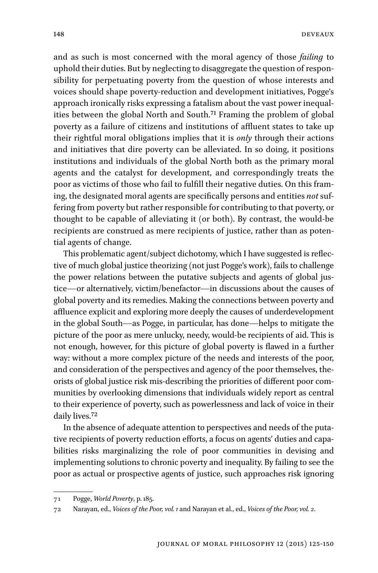and as such is most concerned with the moral agency of those *failing* to uphold their duties. But by neglecting to disaggregate the question of responsibility for perpetuating poverty from the question of whose interests and voices should shape poverty-reduction and development initiatives, Pogge's approach ironically risks expressing a fatalism about the vast power inequalities between the global North and South.<sup>71</sup> Framing the problem of global poverty as a failure of citizens and institutions of affluent states to take up their rightful moral obligations implies that it is *only* through their actions and initiatives that dire poverty can be alleviated. In so doing, it positions institutions and individuals of the global North both as the primary moral agents and the catalyst for development, and correspondingly treats the poor as victims of those who fail to fulfill their negative duties. On this framing, the designated moral agents are specifically persons and entities *not* suffering from poverty but rather responsible for contributing to that poverty, or thought to be capable of alleviating it (or both). By contrast, the would-be recipients are construed as mere recipients of justice, rather than as potential agents of change.

This problematic agent/subject dichotomy, which I have suggested is reflective of much global justice theorizing (not just Pogge's work), fails to challenge the power relations between the putative subjects and agents of global justice—or alternatively, victim/benefactor—in discussions about the causes of global poverty and its remedies. Making the connections between poverty and affluence explicit and exploring more deeply the causes of underdevelopment in the global South—as Pogge, in particular, has done—helps to mitigate the picture of the poor as mere unlucky, needy, would-be recipients of aid. This is not enough, however, for this picture of global poverty is flawed in a further way: without a more complex picture of the needs and interests of the poor, and consideration of the perspectives and agency of the poor themselves, theorists of global justice risk mis-describing the priorities of different poor communities by overlooking dimensions that individuals widely report as central to their experience of poverty, such as powerlessness and lack of voice in their daily lives.72

In the absence of adequate attention to perspectives and needs of the putative recipients of poverty reduction efforts, a focus on agents' duties and capabilities risks marginalizing the role of poor communities in devising and implementing solutions to chronic poverty and inequality. By failing to see the poor as actual or prospective agents of justice, such approaches risk ignoring

<sup>71</sup> Pogge, *World Poverty*, p. 185.

<sup>72</sup> Narayan, ed., *Voices of the Poor, vol. 1* and Narayan et al., ed., *Voices of the Poor, vol. 2*.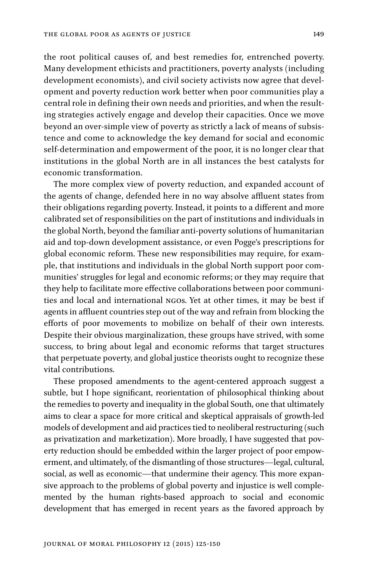the root political causes of, and best remedies for, entrenched poverty. Many development ethicists and practitioners, poverty analysts (including development economists), and civil society activists now agree that development and poverty reduction work better when poor communities play a central role in defining their own needs and priorities, and when the resulting strategies actively engage and develop their capacities. Once we move beyond an over-simple view of poverty as strictly a lack of means of subsistence and come to acknowledge the key demand for social and economic self-determination and empowerment of the poor, it is no longer clear that institutions in the global North are in all instances the best catalysts for economic transformation.

The more complex view of poverty reduction, and expanded account of the agents of change, defended here in no way absolve affluent states from their obligations regarding poverty. Instead, it points to a different and more calibrated set of responsibilities on the part of institutions and individuals in the global North, beyond the familiar anti-poverty solutions of humanitarian aid and top-down development assistance, or even Pogge's prescriptions for global economic reform. These new responsibilities may require, for example, that institutions and individuals in the global North support poor communities' struggles for legal and economic reforms; or they may require that they help to facilitate more effective collaborations between poor communities and local and international ngos. Yet at other times, it may be best if agents in affluent countries step out of the way and refrain from blocking the efforts of poor movements to mobilize on behalf of their own interests. Despite their obvious marginalization, these groups have strived, with some success, to bring about legal and economic reforms that target structures that perpetuate poverty, and global justice theorists ought to recognize these vital contributions.

These proposed amendments to the agent-centered approach suggest a subtle, but I hope significant, reorientation of philosophical thinking about the remedies to poverty and inequality in the global South, one that ultimately aims to clear a space for more critical and skeptical appraisals of growth-led models of development and aid practices tied to neoliberal restructuring (such as privatization and marketization). More broadly, I have suggested that poverty reduction should be embedded within the larger project of poor empowerment, and ultimately, of the dismantling of those structures—legal, cultural, social, as well as economic—that undermine their agency. This more expansive approach to the problems of global poverty and injustice is well complemented by the human rights-based approach to social and economic development that has emerged in recent years as the favored approach by